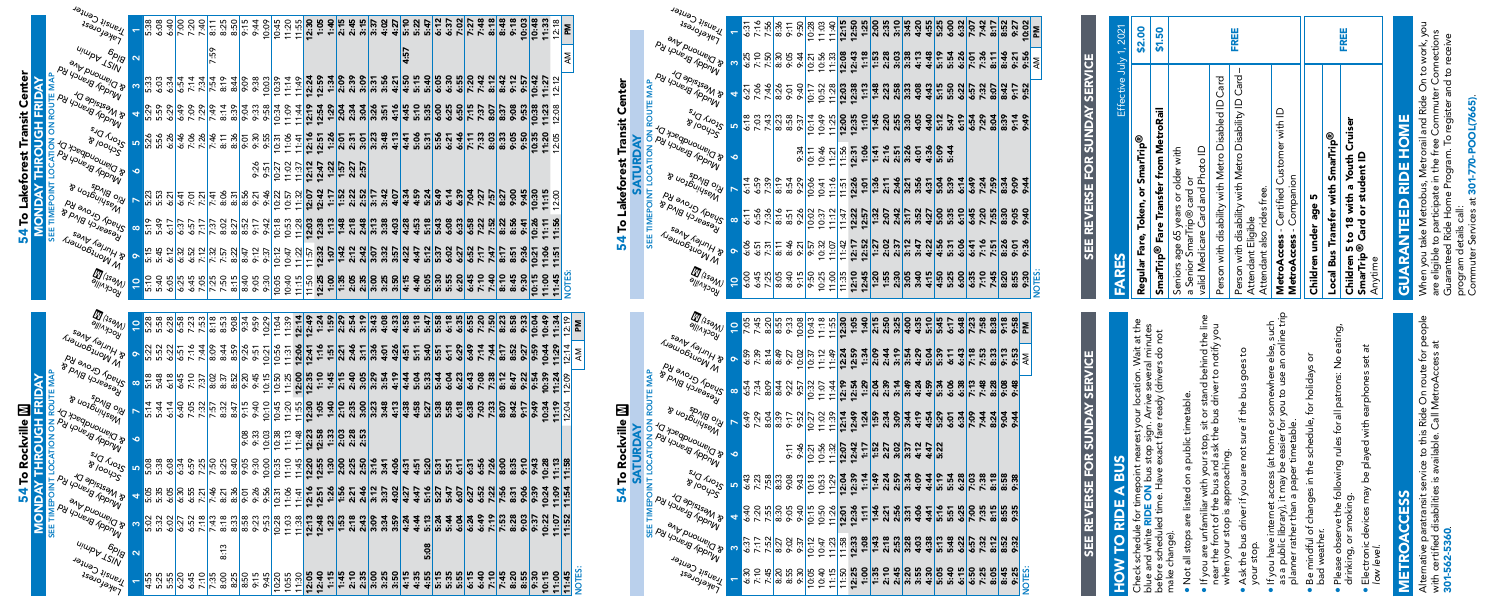| Ļ |   |
|---|---|
| t |   |
|   |   |
|   |   |
| J |   |
|   |   |
| ١ |   |
|   | r |
|   | r |
|   |   |

# $\frac{8}{9}$ SEE TIMEPOINT LOCATION ON ROUTE MAP **M**<br> **TRIDAY**<br> **TRIDAY**<br>
POUTE MAR<br>
POUTE MAR<br>
POUTE MAR MONDAY THROUGH FRIDAY  $\exists z \wedge y$ ▋**゠**ぺ  $P_{\mathcal{U}}$  $\overline{6}$

|                                 | <b>Transit Center</b><br><b>ARGYOTOME</b>                                                                  |                     | <u>ន្ល ខ្លួ ខ្លួ</u><br>ឆ្នាំ ខ្លួ ខ្លួ                               |      |
|---------------------------------|------------------------------------------------------------------------------------------------------------|---------------------|-----------------------------------------------------------------------|------|
|                                 | u <sub>juup</sub> y 1sin<br>b <sub>plg</sub>                                                               | $\boldsymbol{\sim}$ |                                                                       |      |
|                                 | <b>&amp; Diamond Ave</b><br>Alnady Branch Rd<br>MAP                                                        | ო                   | 5:33<br>5:35<br>5:35                                                  | 6:54 |
|                                 | <b>R Mestale Dr</b><br>wady Branch Rd                                                                      | 4                   | ន្ត<br>និង និង<br>និង                                                 |      |
| 54 To Lakeforest Transit Center | <b>S<sub>IO</sub>N</b> D <sup>L2</sup><br><b>PCYOONS</b>                                                   | 5                   | <b>3383</b><br>538                                                    | 6:46 |
|                                 | <b>A Riamondback Dr</b><br>py' ysue Brance Yon                                                             | ∘                   |                                                                       |      |
|                                 | B uozóujusejn<br><b>Pic Blugs</b>                                                                          |                     | ង ឆ្លូ <u>ភ្លៀ</u><br>នូ ឆ្លូ ភ្លៀ ភ្ន                                |      |
|                                 | By enone by<br><b>B PIR BILLIS BILL</b><br><b>SEE</b>                                                      | $\infty$            | 6: 8: 5  <br>6: 8: 5  <br>6: 9: 9                                     |      |
|                                 | senkiner_dres<br><b>Liawobjuow M</b>                                                                       | $\bullet$           | ត់ ដូ ភូ <mark>ង</mark><br>ភូមិ ភូមិ                                  |      |
|                                 | <b>D</b> (1seM)<br><b>POCKVIIIe</b>                                                                        | $\frac{1}{2}$       | $\frac{2}{3}$ $\frac{2}{3}$ $\frac{2}{3}$ $\frac{2}{3}$ $\frac{2}{3}$ |      |
|                                 |                                                                                                            |                     |                                                                       |      |
|                                 |                                                                                                            |                     |                                                                       |      |
|                                 | <b>D</b> (1seM)                                                                                            | $\frac{1}{2}$       |                                                                       |      |
|                                 | <b>POCKNIIG</b><br>sant right                                                                              | õ                   | ន្ត្រី នូ នូ <mark>ក្រូ</mark><br>ឆ្នាំ នូ <mark>ក្</mark>            |      |
|                                 | <b>LIBUJOBIUOW N</b><br>Ay elong Clore ya                                                                  | $\infty$            | 5: 48 14<br>5: 48 14<br>5: 48 14                                      |      |
|                                 | <b>BIONB USIBBSSOL</b>                                                                                     |                     | n<br>2 3 4 4<br>2 4 5 9                                               |      |
| kville                          | <b>BILOS DINGSLOU &amp;</b><br><b>&amp; Diamondback Dr</b>                                                 | ∘                   |                                                                       |      |
|                                 | py' <sub>Youeng Appmy</sub><br><b>LACCAT</b><br><b>S<sub>fOl</sub>t</b> D <sup>ra</sup>                    | ഥ                   | 8<br>6<br>6<br>6<br>6<br>6                                            | 6:34 |
| <b>54 To Roc</b>                | <b>PCYOOLS</b><br><b>Thestaide Dr</b><br>Py                                                                | 4                   | ង ដូ<br>មិន អូ<br>សូ អូ                                               | 6:30 |
|                                 | TIMEPOINT<br>Pue of Brauch<br><b>&amp; Diamond Ave</b><br>-<br>SEE                                         | ო                   | នៈ នូ<br>និង<br>និង                                                   | 6:27 |
|                                 | Anddr Branch Rd<br>u <sub>juup</sub> y 1 <sub>S/N</sub><br>b <sub>plg</sub><br>Juglik Center<br>1saloyaye7 |                     |                                                                       |      |



| $\mathscr{A}_{\mathscr{A}_{\mathscr{A}_{\mathscr{N}}}}$<br><b>POCKVIIIE</b>                                           | $\overline{1}$           | 5:28<br>5:58                                                            | 6:28 |      | 8 3 3 3<br>8 3 3 3 |      | 8:18                                                                                            | 8:53                 | 9:08         | 9:34              | 9:59 | 10:29 | 11:04                  | 11:39                            | 12:14 | 12:49                  | 1:24                    | 1:59                | 2:29 | 2:54                 | 3:19 | 3:43                | 4:08 | 4:33 | 4:58 | 5:18 | 5:47 |      | 6:18         | 6:35 | 6:55 | 7:20 | $7:50$<br>8:23 |                            | 8:58 | 9:33 | 10:04 | 10:49 | 11:34                  | 2:19                               | ΣÑ     |
|-----------------------------------------------------------------------------------------------------------------------|--------------------------|-------------------------------------------------------------------------|------|------|--------------------|------|-------------------------------------------------------------------------------------------------|----------------------|--------------|-------------------|------|-------|------------------------|----------------------------------|-------|------------------------|-------------------------|---------------------|------|----------------------|------|---------------------|------|------|------|------|------|------|--------------|------|------|------|----------------|----------------------------|------|------|-------|-------|------------------------|------------------------------------|--------|
| Jee Hurley Avez<br><b>LIBUIDEILION IN R</b>                                                                           | $\bullet$                | 52                                                                      | 6:22 |      | $6:51$<br>7:16     | 7:44 | 8:09                                                                                            | 8:44                 | 8:59<br>9:26 |                   | 9:51 | 10:21 | 10:56                  | 11:31                            | 12:06 | 12:41                  | 1:16                    | 1:51                | 2:21 | 2:46                 | 3:11 | 3:36                | 4:01 | 4:26 | 4:51 | 5:11 | 5:40 | 5:51 | 6:11         | 6:29 | 6:49 | 7:14 | 7:44           | $\overline{8:17}$          | 8:52 | 9:27 | 9:5   | 10:44 | 11:29                  | 4<br>$\overline{21}$               | Μ      |
| A Shady Grove Rd<br><b>BIONB YOJBOSSOL</b>                                                                            | $\infty$                 | 5:18<br>5:48                                                            | 6:18 |      | $8.75$<br>$7.37$   |      | 8:02                                                                                            | 8:30<br>8:50<br>8:20 |              |                   | 9:45 | 10:15 | 10:50                  | 11:25                            | 12:00 | 12:35                  | 1:10                    | 1:45                | 2:15 | 2:40<br>3:05         |      | 3:29                | 3:54 | 4:19 | 4:44 | 5:04 | 5:33 | 5:44 | 6:04         | 6:23 | 6:43 | 7:08 | 7:38           | 8:12                       | 8:47 | 9:2  | 9:5   | 10:39 | 11:24                  | $\frac{1}{2.09}$<br>$\overline{ }$ |        |
| Spyle Blvos<br>B UOJÓUIYSENY                                                                                          | $\overline{\phantom{a}}$ | 5:44                                                                    | 6:14 | 6:40 | 7:05               | 7:32 | 7.57                                                                                            | 8:32                 | 8:47         | $rac{5}{2:15}$    | 9:40 | 10:10 | 10:45                  | 11:20                            | 11:55 | 12:30                  | 1:05                    | 1:40                | 2:10 | 2:35                 | 3:00 | 3:23                | 3:48 | 4:13 | 4:38 | 4:58 | 5:27 | 5:38 | 5:58         | 6:18 | 6:38 | 7:03 | 7:33           | 8:07                       | 8:42 | 9:17 | 67:6  | 10:34 | 11:19                  | 2:04                               |        |
| a <sub>Aseqpuouqpack D</sub><br>A youe of Poince                                                                      | $\bullet$                |                                                                         |      |      |                    |      |                                                                                                 |                      |              | 9:33<br>9:33      |      | 10:03 | 10:38                  | 11:13                            | 11:48 | 12:23                  | 2:58<br>$\blacksquare$  | $\frac{1:33}{2:03}$ |      | 2:28<br>2:53         |      |                     |      |      |      |      |      |      |              |      |      |      |                |                            |      |      |       |       |                        |                                    |        |
| SIO Arois<br><b>B</b> lookss                                                                                          | <b>IO</b>                | 5:38<br>5:38                                                            | 6:08 | 6:34 | 6:59               | 7:25 | 7:50<br>8:25                                                                                    |                      | 8:40         | ġ.                | 9:30 | 10:00 | 10:35                  | 11:10                            | 11:45 | 12:20                  | 2:55<br>$\blacksquare$  | $\frac{1:30}{2:00}$ |      | 2:50<br>2:50<br>3:50 |      |                     | 3:41 | 4:06 | 4:31 | 4:51 | 5:20 | 5:31 | 5:51         | 6:11 | 6:31 | 6:56 | 7:26<br>8:00   |                            | 8:35 | 9:10 | 9:43  | 0:28  | 11:13                  | 11:58<br>$\blacksquare$            |        |
| a a Mestaide Dr<br>By youe's former                                                                                   | $\overline{\mathbf{r}}$  | ှင့်<br>5:35<br>Ιö                                                      | 6:05 | 6:30 | 6:55               | 7:21 | 7:46                                                                                            | 8:21                 | 8:36         | $\overline{9:}01$ | 9:26 | 9:56  | 10:31                  | 11:06                            | 11:41 | 12:16                  | 12:51                   | 1:26                | 1:56 | 2:21                 |      | $\frac{2:46}{3:12}$ | 3:37 | 4:02 | 4:27 | 4:47 | 5:16 | 5:27 | 5:47         | 6:07 | 6:27 | 6:52 | 7:22           | 7:56                       | 8:31 | 90:9 | 9:3   | 0:24  | 11:09                  | 1:54<br>$\blacksquare$             |        |
| A & Diamond Ave<br>A youe of Branch R.                                                                                | က                        | 5:02<br>5:32                                                            | 6:02 | 6:27 | 6:52               | 7:18 | 7:43                                                                                            | 8:18                 | 8:33         | 8:58              | 9:23 | 9:53  | 10:28                  | 11:03                            | 11:38 | 12:13                  | 12:48                   | 1:23                | 1:53 | 2:18                 | 2:43 | 3:09                | 3:34 | 3:59 | 4:24 | 4:44 | 5:13 | 5:24 | 5:44         | 6:04 | 6:24 | 6:49 | 7:19           | 7:53                       | 8:28 | 9:03 | 9:3   | 0:22  | 11:07                  | 1:52                               |        |
| u <sub>juup</sub> y <sub>1Siiv</sub><br>$\partial_{\rho_{\scriptscriptstyle\left/\!\lvert \mathcal{S}\rvert}\right.}$ | $\mathbf{\Omega}$        |                                                                         |      |      |                    |      |                                                                                                 | ω<br>٣.<br>$\infty$  |              |                   |      |       |                        |                                  |       |                        |                         |                     |      |                      |      |                     |      |      |      |      | 5.08 |      |              |      |      |      |                |                            |      |      |       |       |                        |                                    |        |
| Jelley Center<br>$4s\delta_{JQ/ \partial y_{B}y_{C}}$                                                                 |                          | $\frac{15}{4}$ is $\frac{15}{10}$ is $\frac{15}{10}$ is $\frac{15}{10}$ |      |      |                    |      | $\frac{45}{35}$ $\frac{65}{35}$ $\frac{65}{35}$ $\frac{65}{35}$ $\frac{65}{35}$ $\frac{65}{35}$ |                      |              |                   |      | 9:45  | 0:20<br>$\overline{ }$ | 0:55<br>$\overline{\phantom{0}}$ | 11:30 | 2:05<br>$\overline{ }$ | 2:40<br>$\mathbf{\tau}$ | $rac{1:15}{1:45}$   |      | $\frac{25}{25}$      |      |                     |      |      | 4:15 | 4:35 | 4:55 | 5:15 | 5:35<br>5:55 |      | 6:15 | 6:40 |                | $7:45$<br>$7:45$<br>$8:20$ |      | 8:55 | 9:30  | 0:15  | 1:00<br>$\overline{ }$ | 11:45                              | NOTES: |



| E      |  |
|--------|--|
| c      |  |
|        |  |
|        |  |
| ŕ      |  |
| ⊻<br>I |  |
|        |  |



SATURDAY SEE TIMEPOINT LOCATION ON ROUTE MAP

|    | L 3 3 3 8 5 8 6 6 5 5 6 7 4 5 9 7 8 9 4 5 7 9 8 9 9 4 9 6 7 6 8 9 6 7 8 9 6 7 6 8 9 6 7 6 9 6 7 7 8 9 6 7 6 7 8 9 7 7 8 9 7 7 8 9 7 7 8 9 7 7 8 9 7 7 8 9 7 7 8 9 7 7 8 9 7 7 8 9 7 7 8 9 7 7 8 9 7 7 8 9 7 7 8 9 7 7 9 9 7 7 |  |  |                                                                                             |  |  |  |  |  |  |  |  |  |  |        |
|----|-------------------------------------------------------------------------------------------------------------------------------------------------------------------------------------------------------------------------------|--|--|---------------------------------------------------------------------------------------------|--|--|--|--|--|--|--|--|--|--|--------|
| ۰ó |                                                                                                                                                                                                                               |  |  | 동생은 양성 <b>이 없는 것 같은 것 없는 것 같은</b><br>이 이 이 이 있는 것 같은 것 않은 것 같은<br>이 이 있는 것 같은 것 않은 것 같은 것 같 |  |  |  |  |  |  |  |  |  |  |        |
|    |                                                                                                                                                                                                                               |  |  |                                                                                             |  |  |  |  |  |  |  |  |  |  |        |
|    |                                                                                                                                                                                                                               |  |  |                                                                                             |  |  |  |  |  |  |  |  |  |  |        |
|    |                                                                                                                                                                                                                               |  |  |                                                                                             |  |  |  |  |  |  |  |  |  |  |        |
|    |                                                                                                                                                                                                                               |  |  |                                                                                             |  |  |  |  |  |  |  |  |  |  | NOTES: |

| $33.78$ $\frac{1}{3}$<br>$\frac{1}{3}$<br>$\frac{1}{3}$<br>$\frac{1}{3}$<br>$\frac{1}{5}$<br>$\frac{1}{5}$<br>$\frac{1}{5}$<br>$\frac{1}{5}$<br>$\frac{1}{5}$<br>$\frac{1}{5}$<br>$\frac{1}{5}$<br>$\frac{1}{5}$<br>$\frac{1}{5}$<br>$\frac{1}{5}$<br>$\frac{1}{5}$<br>$\frac{1}{5}$<br>$\frac{1}{5}$<br>$\frac{1}{5}$<br>$\frac{1}{5}$<br>$\frac{1}{5}$<br>$\frac{1}{5}$<br>$\frac$ |  | $3.58$<br>$3.58$<br>$3.54$<br>$3.54$<br>$3.54$ | $\frac{1}{21}$ $\frac{1}{22}$ $\frac{1}{22}$ $\frac{1}{22}$ $\frac{1}{22}$ $\frac{1}{22}$ $\frac{1}{22}$ $\frac{1}{22}$ $\frac{1}{22}$ $\frac{1}{22}$ $\frac{1}{22}$ $\frac{1}{22}$ $\frac{1}{22}$ $\frac{1}{22}$ $\frac{1}{22}$ $\frac{1}{22}$ $\frac{1}{22}$ $\frac{1}{22}$ $\frac{1}{22}$ $\frac{1}{22}$ |  | $\begin{array}{r} 163.83 \\ 163.83 \\ 164.83 \\ 165.83 \\ 165.83 \\ 165.83 \\ 165.83 \\ 165.83 \\ 165.83 \\ 165.83 \\ 165.83 \\ 165.83 \\ 165.83 \\ 165.83 \\ 165.83 \\ 165.83 \\ 165.83 \\ 165.83 \\ 165.83 \\ 165.83 \\ 165.83 \\ 165.83 \\ 165.83 \\ 165.83 \\ 165.83 \\ 165.83 \\ 165.$ |
|--------------------------------------------------------------------------------------------------------------------------------------------------------------------------------------------------------------------------------------------------------------------------------------------------------------------------------------------------------------------------------------|--|------------------------------------------------|-------------------------------------------------------------------------------------------------------------------------------------------------------------------------------------------------------------------------------------------------------------------------------------------------------------|--|---------------------------------------------------------------------------------------------------------------------------------------------------------------------------------------------------------------------------------------------------------------------------------------------|
|                                                                                                                                                                                                                                                                                                                                                                                      |  |                                                |                                                                                                                                                                                                                                                                                                             |  |                                                                                                                                                                                                                                                                                             |

# SEE REVERSE FOR SUNDAY SERVICE SEE REVERSE FOR SUNDAY SERVICE **SERVICE ANONDS** SEE REVERSE FOR

|                   | 5:38            | 6:08             | 6:40 |      | 7:20 | 7:40 | $\frac{1}{8}$ | 8:25 | 8:50 | 9:15 | 9:44 | 10:09       | 10:45                            | 11:20 | 11:55 | 12:30 | 1:05                   | 1:40 | 2:15 | 2:45                 | 3:15 | 3:37           | 4:02 | 4:27 | 5:10 | 5:22 | 5:47 | 6:12 | 6:37 | 7:02 | 7:27             | 7:48 | 8:18 | 8:48 | 9:18 | 10:03 | 10:48 | 11:33          | $\infty$<br>12:1                | ΣÑ    |
|-------------------|-----------------|------------------|------|------|------|------|---------------|------|------|------|------|-------------|----------------------------------|-------|-------|-------|------------------------|------|------|----------------------|------|----------------|------|------|------|------|------|------|------|------|------------------|------|------|------|------|-------|-------|----------------|---------------------------------|-------|
| $\mathbf{\Omega}$ |                 |                  |      |      |      |      | 7:59          |      |      |      |      |             |                                  |       |       |       |                        |      |      |                      |      |                |      |      | 4:57 |      |      |      |      |      |                  |      |      |      |      |       |       |                |                                 | Μ     |
| က                 | 5:33            | 6:03             | 6:34 | 6:54 | 7:14 | 7:34 | 7:54          | 8:19 | 8:44 | 9.09 | 9:38 | 10:03       | 10:39                            | 11:14 | 11:49 | 12:24 | 12:59                  | 1:34 | 2:09 | 2:39                 | 3:09 | $\overline{3}$ | 3:56 | 4:21 | 4:50 | 5:15 | 5:40 | 6:05 | 6:30 | 6:55 | 7:20             | 7:42 | 8:12 | 8:42 | 9:12 | 9:5   | 10:42 | 11:2           | $\sim$<br>Ń                     |       |
| ₹                 |                 | 5:29<br>5:59     | 6:29 | 6:49 | 7:09 | 7:29 | 7:49          | 8:14 | 8:39 | 9:04 | 9:33 | 9:58        | 10:34                            | 11:09 | 11:44 | 12:19 | 12:54                  | 1:29 |      | 2:34<br>2:34<br>2:34 |      | 3:26           | 3:51 | 4:16 | 4:45 | 5:10 | 5:35 | 6:00 | 6:25 | 6:50 | 7:15             | 7:37 | 8:07 | 8:37 | 9:08 | 9:53  | 10:38 | 1:23           | 2:08                            |       |
| <b>LO</b>         | $\ddot{5}$<br>Ю | 5:56             | 6:26 | 9:46 | 7:06 | 7:26 | 7:46          | 8:11 | 8:36 | 9:01 | 9:30 | 9:55        | 10:31                            | 11:06 | 11:41 | 12:16 | 12:51                  | 1:26 | 2:01 | 2:31                 | 3:01 | 3:23           | 3:48 | 4:13 | 4:41 | 5:06 | 5:31 | 5:56 | 6:21 | 6:46 | $\overline{7:7}$ | 7:33 | 8:03 | 8:33 | 9:05 | 9:50  | 10:35 | 11:20          | 2:05                            |       |
| $\circ$           |                 |                  |      |      |      |      |               |      |      |      | 9:26 | 9:51        | 0:27                             | 11:02 | 11:37 | 12:12 | 12:47                  | 1:22 | 1:57 | 2:27                 | 2:57 |                |      |      |      |      |      |      |      |      |                  |      |      |      |      |       |       |                |                                 |       |
| $\overline{ }$    |                 | 5:33<br>5:53     | 6:21 | 6:41 | 7:01 | 7:21 | 7:41          | 8:06 | 8:31 | 8:56 | 9:21 | 9:46        | 10:22                            | 10:57 | 11:32 | 12:07 | 2:42                   | 1:17 | 1:52 | 2:22                 | 2:52 | 3:17           | 3:42 | 4:07 | 4:34 | 4:59 | 5:24 | 5:49 | 6:14 | 6:39 | 7:04             | 7:27 | 7:57 | 8:27 | 9:00 | 9:45  | 0:30  | 1:15<br>᠆      | 2:50                            |       |
| $\infty$          | m               | 5:49             | 6:17 | 6:37 | 6:57 | 7:17 | 7:37          | 8:02 | 8:27 | 8:52 | 9:17 | <b>6.42</b> | 10:18                            | 10:53 | 11:28 | 12:03 | 2:38                   | 1:13 | 1:48 | 2:18                 | 2:48 | 3:13           | 3:38 | 4:03 | 4:28 | 4:53 | 5:18 | 5:43 | 6:08 | 6:33 | 6:58             | 7:22 | 7:52 | 8:22 | 8:56 | 9:41  | 0:26  | $\mathbf{1:1}$ | .56<br>$\overline{\phantom{0}}$ |       |
|                   | m               | 5:45             | 6:12 | 6:32 | 6:52 | 7:12 | 7:32          | 7:57 | 8:22 | 8:47 | 9:12 | 9:37        | 10:12                            | 10:47 | 11:22 | 11:57 | 12:32                  | 1:07 | 1:42 | 2:12                 | 2:42 | 3:07           | 3:32 | 3:57 | 4:22 | 4:47 | 5:12 | 5:37 | 6:02 | 6:27 | 6:52             | 7:17 | 7:47 | 8:17 | 8:51 | 9:36  | 10:2  | 11:06          |                                 |       |
| $\leftarrow$      |                 | $5:40$<br>$5:40$ | 6:05 | 6:25 | 6:45 | 7:05 | 7:25          | 7:50 | 8:15 | 8:40 | 9:05 | 9:30        | 0:05<br>$\overline{\phantom{0}}$ | 10:40 | 11:15 | 11:50 | 2:25<br>$\overline{ }$ | 1:00 | 1:35 | 2:05                 | 2:35 | 3:00           | 3:25 | 3:50 | 4:15 | 4:40 | 5:05 | 5:30 | 5:55 | 6:20 | 6:45             | 7:10 | 7:40 | 8:10 | 8:45 | 9:30  | 10:15 | 1:00           | 1:45                            | NOTES |

# HOW TO RIDE A BUS  $\blacktriangleleft$ ுய  $\Omega$ 同  $\delta$

Check schedule for timepoint nearest your location. Wait at the Wait at the<br>al minutes<br>rs do not blue and white RIDE ON bus stop sign. Arrive several minutes before scheduled time. Have exact fare ready (drivers do not isex<br>dri  $\stackrel{\circ}{\geq} \stackrel{\circ}{\sigma}$ <u>აბ</u> your<br>n. Arr est stop sigr<br>exact far **imepoint**<br>**ON bus :**<br>ne. Have e blue and white **RIDE (**<br>before scheduled time<br>make change).  $\frac{e}{\sqrt{2}}$ make change). ¥

 $\frac{e}{\rho}$ Alternative paratransit service to this Ride On route for people ම<br>ය ස with certified disabilities is available. Call MetroAccess at ្លុំ ១ Alternative paratransit service to this Ride On route<br>with certified disabilities is available. Call MetroAcce<br>**301-562-5360**. 301-562-5360.

# GUARANTEED RIDE HOME HOMI Щ  $\overline{\alpha}$ Щ Ę **GUARA**

# SEE REVERSE FOR SUNDAY SERVICI

When you take Metrobus, Metrorail and Ride On to work, you , work, you<br>inections are eligible to participate in the free Commuter Connections Guaranteed Ride Home Program. To register and to receive ے۔<br>ق  $\mathsf{S}$ ទ ខ  $\delta$   $\frac{0}{\pi}$   $\frac{1}{\pi}$ na nue O<br>pmmuter<br>9gister anv<br>9gister anv Ride Commuter Services at 301-770-POOL(7665).  $rac{1}{2}$ Ě etrorail a<br>he free C<br>ram. To r Ŏ etrobus, Met<br>icipate in the<br>Home Progra<br>all:  $\overline{301}$ program details call: Met<br>artic When you take Me<br>are eligible to part<br>Guaranteed Ride <del>I</del><br>program details ca<br>Commuter Service

1:55 2:02 2:07 2:11 2:16 2:20 2:23 2:28 2:35 2:30 2:37 2:42 2:46 2:51 2:55 2:58 3:03 3:10

- Not all stops are listed on a public timetable. table timet public  $\sigma$  $\mathsf{S}% _{T}=\mathsf{S}_{T}\!\left( a,b\right) ,\mathsf{S}_{T}=\mathsf{S}_{T}\!\left( a,b\right) ,\mathsf{S}_{T}=\mathsf{S}_{T}\!\left( a,b\right) ,$ are listed Not all stops  $\bullet$
- If you are unfamiliar with your stop, sit or stand behind the line If you are unfamiliar with your stop, sit or stand behind the lin<br>near the front of the bus and ask the bus driver to notify you<br>when your stop is approaching.<br>Ask the bus driver if you are not sure if the bus goes to<br>your near the front of the bus and ask the bus driver to notify you when your stop is approaching. •
	- • Ask the bus driver if you are not sure if the bus goes to your stop.
- as a public library), it may be easier for you to use an online trip If you have internet access (at home or somewhere else, such<br>as a public library), it may be easier for you to use an online trip<br>planner rather than a paper timetable. If you have internet access (at home or somewhere else, such planner rather than a paper timetable. •
	- Be mindful of changes in the schedule, for holidays or ·holiday  $\vec{\mathsf{p}}$ dule, ್ಯ ᆃ ⊒. changes • Be mindful of a<br>bad weather. bad weather.
- Please observe the following rules for all patrons: No eating, ರಾ eating  $\frac{1}{2}$ ່ທ່ all patrons ځ rules following drinking, or smoking. ᡡ erve the t<br>smoking • Please obser<br>drinking, or s
	- ੱਕ Electronic devices may be played with earphones set *at* set *low level*. •

# $ESS$ METROACCESS **METROACC**

| Effective July 1, 2021<br><b>FARES</b>                                                                     |        |
|------------------------------------------------------------------------------------------------------------|--------|
| Regular Fare, Token, or SmarTrip®                                                                          | \$2.00 |
| SmarTrip <sup>®</sup> Fare Transfer from MetroRail                                                         | \$1.50 |
| valid Medicare Card and Photo ID<br>Seniors age 65 years or older with<br>a Senior SmarTrip® card or       |        |
| Person with disability with Metro Disabled ID Card                                                         |        |
| Person with disability with Metro Disability ID Card -<br>Attendant also rides free.<br>Attendant Eligible | FREE   |
| MetroAccess - Certified Customer with ID<br>MetroAccess - Companion                                        |        |
| Children under age 5                                                                                       |        |
| Local Bus Transfer with SmarTrip®                                                                          |        |
| Children 5 to 18 with a Youth Cruiser<br>SmarTrip <sup>®</sup> Card or student ID<br>Anytime               | FREE   |
|                                                                                                            |        |